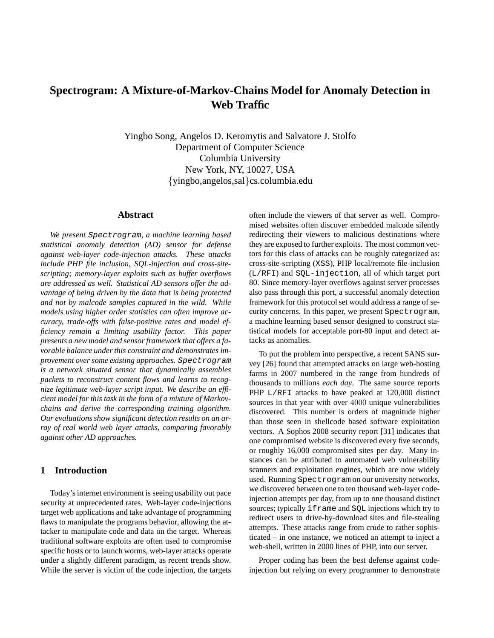# **Spectrogram: A Mixture-of-Markov-Chains Model for Anomaly Detection in Web Traffic**

Yingbo Song, Angelos D. Keromytis and Salvatore J. Stolfo Department of Computer Science Columbia University New York, NY, 10027, USA {yingbo,angelos,sal}cs.columbia.edu

### **Abstract**

*We present* Spectrogram*, a machine learning based statistical anomaly detection (AD) sensor for defense against web-layer code-injection attacks. These attacks include PHP file inclusion, SQL-injection and cross-sitescripting; memory-layer exploits such as buffer overflows are addressed as well. Statistical AD sensors offer the advantage of being driven by the data that is being protected and not by malcode samples captured in the wild. While models using higher order statistics can often improve accuracy, trade-offs with false-positive rates and model efficiency remain a limiting usability factor. This paper presents a new model and sensor framework that offers a favorable balance under this constraint and demonstrates improvement over some existing approaches.* Spectrogram *is a network situated sensor that dynamically assembles packets to reconstruct content flows and learns to recognize legitimate web-layer script input. We describe an efficient model for this task in the form of a mixture of Markovchains and derive the corresponding training algorithm. Our evaluations show significant detection results on an array of real world web layer attacks, comparing favorably against other AD approaches.*

# **1 Introduction**

Today's internet environment is seeing usability out pace security at unprecedented rates. Web-layer code-injections target web applications and take advantage of programming flaws to manipulate the programs behavior, allowing the attacker to manipulate code and data on the target. Whereas traditional software exploits are often used to compromise specific hosts or to launch worms, web-layer attacks operate under a slightly different paradigm, as recent trends show. While the server is victim of the code injection, the targets often include the viewers of that server as well. Compromised websites often discover embedded malcode silently redirecting their viewers to malicious destinations where they are exposed to further exploits. The most common vectors for this class of attacks can be roughly categorized as: cross-site-scripting (XSS), PHP local/remote file-inclusion (L/RFI) and SQL-injection, all of which target port 80. Since memory-layer overflows against server processes also pass through this port, a successful anomaly detection framework for this protocol set would address a range of security concerns. In this paper, we present Spectrogram, a machine learning based sensor designed to construct statistical models for acceptable port-80 input and detect attacks as anomalies.

To put the problem into perspective, a recent SANS survey [26] found that attempted attacks on large web-hosting farms in 2007 numbered in the range from hundreds of thousands to millions *each day*. The same source reports PHP L/RFI attacks to have peaked at 120,000 distinct sources in that year with over 4000 unique vulnerabilities discovered. This number is orders of magnitude higher than those seen in shellcode based software exploitation vectors. A Sophos 2008 security report [31] indicates that one compromised website is discovered every five seconds, or roughly 16,000 compromised sites per day. Many instances can be attributed to automated web vulnerability scanners and exploitation engines, which are now widely used. Running Spectrogram on our university networks, we discovered between one to ten thousand web-layer codeinjection attempts per day, from up to one thousand distinct sources; typically iframe and SQL injections which try to redirect users to drive-by-download sites and file-stealing attempts. These attacks range from crude to rather sophisticated – in one instance, we noticed an attempt to inject a web-shell, written in 2000 lines of PHP, into our server.

Proper coding has been the best defense against codeinjection but relying on every programmer to demonstrate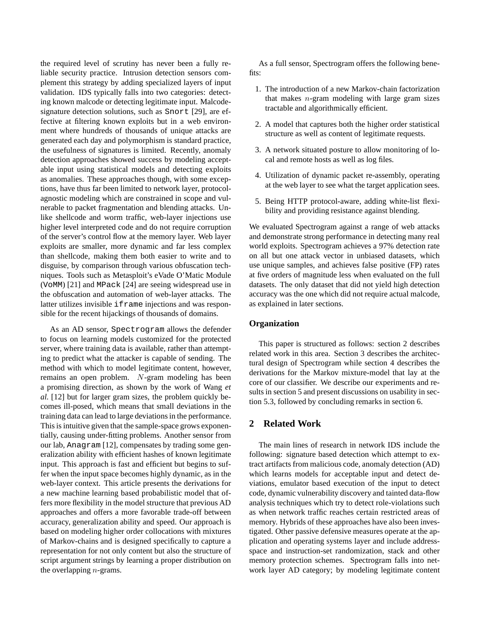the required level of scrutiny has never been a fully reliable security practice. Intrusion detection sensors complement this strategy by adding specialized layers of input validation. IDS typically falls into two categories: detecting known malcode or detecting legitimate input. Malcodesignature detection solutions, such as Snort [29], are effective at filtering known exploits but in a web environment where hundreds of thousands of unique attacks are generated each day and polymorphism is standard practice, the usefulness of signatures is limited. Recently, anomaly detection approaches showed success by modeling acceptable input using statistical models and detecting exploits as anomalies. These approaches though, with some exceptions, have thus far been limited to network layer, protocolagnostic modeling which are constrained in scope and vulnerable to packet fragmentation and blending attacks. Unlike shellcode and worm traffic, web-layer injections use higher level interpreted code and do not require corruption of the server's control flow at the memory layer. Web layer exploits are smaller, more dynamic and far less complex than shellcode, making them both easier to write and to disguise, by comparison through various obfuscation techniques. Tools such as Metasploit's eVade O'Matic Module (VoMM) [21] and MPack [24] are seeing widespread use in the obfuscation and automation of web-layer attacks. The latter utilizes invisible iframe injections and was responsible for the recent hijackings of thousands of domains.

As an AD sensor, Spectrogram allows the defender to focus on learning models customized for the protected server, where training data is available, rather than attempting to predict what the attacker is capable of sending. The method with which to model legitimate content, however, remains an open problem. N-gram modeling has been a promising direction, as shown by the work of Wang *et al.* [12] but for larger gram sizes, the problem quickly becomes ill-posed, which means that small deviations in the training data can lead to large deviations in the performance. This is intuitive given that the sample-space grows exponentially, causing under-fitting problems. Another sensor from our lab, Anagram [12], compensates by trading some generalization ability with efficient hashes of known legitimate input. This approach is fast and efficient but begins to suffer when the input space becomes highly dynamic, as in the web-layer context. This article presents the derivations for a new machine learning based probabilistic model that offers more flexibility in the model structure that previous AD approaches and offers a more favorable trade-off between accuracy, generalization ability and speed. Our approach is based on modeling higher order collocations with mixtures of Markov-chains and is designed specifically to capture a representation for not only content but also the structure of script argument strings by learning a proper distribution on the overlapping  $n$ -grams.

As a full sensor, Spectrogram offers the following benefits<sup>-</sup>

- 1. The introduction of a new Markov-chain factorization that makes  $n$ -gram modeling with large gram sizes tractable and algorithmically efficient.
- 2. A model that captures both the higher order statistical structure as well as content of legitimate requests.
- 3. A network situated posture to allow monitoring of local and remote hosts as well as log files.
- 4. Utilization of dynamic packet re-assembly, operating at the web layer to see what the target application sees.
- 5. Being HTTP protocol-aware, adding white-list flexibility and providing resistance against blending.

We evaluated Spectrogram against a range of web attacks and demonstrate strong performance in detecting many real world exploits. Spectrogram achieves a 97% detection rate on all but one attack vector in unbiased datasets, which use unique samples, and achieves false positive (FP) rates at five orders of magnitude less when evaluated on the full datasets. The only dataset that did not yield high detection accuracy was the one which did not require actual malcode, as explained in later sections.

# **Organization**

This paper is structured as follows: section 2 describes related work in this area. Section 3 describes the architectural design of Spectrogram while section 4 describes the derivations for the Markov mixture-model that lay at the core of our classifier. We describe our experiments and results in section 5 and present discussions on usability in section 5.3, followed by concluding remarks in section 6.

# **2 Related Work**

The main lines of research in network IDS include the following: signature based detection which attempt to extract artifacts from malicious code, anomaly detection (AD) which learns models for acceptable input and detect deviations, emulator based execution of the input to detect code, dynamic vulnerability discovery and tainted data-flow analysis techniques which try to detect role-violations such as when network traffic reaches certain restricted areas of memory. Hybrids of these approaches have also been investigated. Other passive defensive measures operate at the application and operating systems layer and include addressspace and instruction-set randomization, stack and other memory protection schemes. Spectrogram falls into network layer AD category; by modeling legitimate content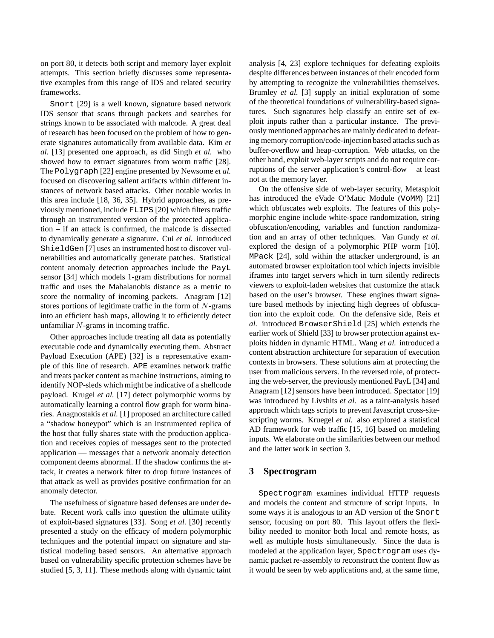on port 80, it detects both script and memory layer exploit attempts. This section briefly discusses some representative examples from this range of IDS and related security frameworks.

Snort [29] is a well known, signature based network IDS sensor that scans through packets and searches for strings known to be associated with malcode. A great deal of research has been focused on the problem of how to generate signatures automatically from available data. Kim *et al.* [13] presented one approach, as did Singh *et al.* who showed how to extract signatures from worm traffic [28]. The Polygraph [22] engine presented by Newsome *et al.* focused on discovering salient artifacts within different instances of network based attacks. Other notable works in this area include [18, 36, 35]. Hybrid approaches, as previously mentioned, include FLIPS [20] which filters traffic through an instrumented version of the protected application – if an attack is confirmed, the malcode is dissected to dynamically generate a signature. Cui *et al.* introduced ShieldGen [7] uses an instrumented host to discover vulnerabilities and automatically generate patches. Statistical content anomaly detection approaches include the PayL sensor [34] which models 1-gram distributions for normal traffic and uses the Mahalanobis distance as a metric to score the normality of incoming packets. Anagram [12] stores portions of legitimate traffic in the form of  $N$ -grams into an efficient hash maps, allowing it to efficiently detect unfamiliar N-grams in incoming traffic.

Other approaches include treating all data as potentially executable code and dynamically executing them. Abstract Payload Execution (APE) [32] is a representative example of this line of research. APE examines network traffic and treats packet content as machine instructions, aiming to identify NOP-sleds which might be indicative of a shellcode payload. Krugel *et al.* [17] detect polymorphic worms by automatically learning a control flow graph for worm binaries. Anagnostakis *et al.* [1] proposed an architecture called a "shadow honeypot" which is an instrumented replica of the host that fully shares state with the production application and receives copies of messages sent to the protected application — messages that a network anomaly detection component deems abnormal. If the shadow confirms the attack, it creates a network filter to drop future instances of that attack as well as provides positive confirmation for an anomaly detector.

The usefulness of signature based defenses are under debate. Recent work calls into question the ultimate utility of exploit-based signatures [33]. Song *et al.* [30] recently presented a study on the efficacy of modern polymorphic techniques and the potential impact on signature and statistical modeling based sensors. An alternative approach based on vulnerability specific protection schemes have be studied [5, 3, 11]. These methods along with dynamic taint

analysis [4, 23] explore techniques for defeating exploits despite differences between instances of their encoded form by attempting to recognize the vulnerabilities themselves. Brumley *et al.* [3] supply an initial exploration of some of the theoretical foundations of vulnerability-based signatures. Such signatures help classify an entire set of exploit inputs rather than a particular instance. The previously mentioned approaches are mainly dedicated to defeating memory corruption/code-injection based attacks such as buffer-overflow and heap-corruption. Web attacks, on the other hand, exploit web-layer scripts and do not require corruptions of the server application's control-flow – at least not at the memory layer.

On the offensive side of web-layer security, Metasploit has introduced the eVade O'Matic Module (VoMM) [21] which obfuscates web exploits. The features of this polymorphic engine include white-space randomization, string obfuscation/encoding, variables and function randomization and an array of other techniques. Van Gundy *et al.* explored the design of a polymorphic PHP worm [10]. MPack [24], sold within the attacker underground, is an automated browser exploitation tool which injects invisible iframes into target servers which in turn silently redirects viewers to exploit-laden websites that customize the attack based on the user's browser. These engines thwart signature based methods by injecting high degrees of obfuscation into the exploit code. On the defensive side, Reis *et al.* introduced BrowserShield [25] which extends the earlier work of Shield [33] to browser protection against exploits hidden in dynamic HTML. Wang *et al.* introduced a content abstraction architecture for separation of execution contexts in browsers. These solutions aim at protecting the user from malicious servers. In the reversed role, of protecting the web-server, the previously mentioned PayL [34] and Anagram [12] sensors have been introduced. Spectator [19] was introduced by Livshits *et al.* as a taint-analysis based approach which tags scripts to prevent Javascript cross-sitescripting worms. Kruegel *et al.* also explored a statistical AD framework for web traffic [15, 16] based on modeling inputs. We elaborate on the similarities between our method and the latter work in section 3.

### **3 Spectrogram**

Spectrogram examines individual HTTP requests and models the content and structure of script inputs. In some ways it is analogous to an AD version of the Snort sensor, focusing on port 80. This layout offers the flexibility needed to monitor both local and remote hosts, as well as multiple hosts simultaneously. Since the data is modeled at the application layer, Spectrogram uses dynamic packet re-assembly to reconstruct the content flow as it would be seen by web applications and, at the same time,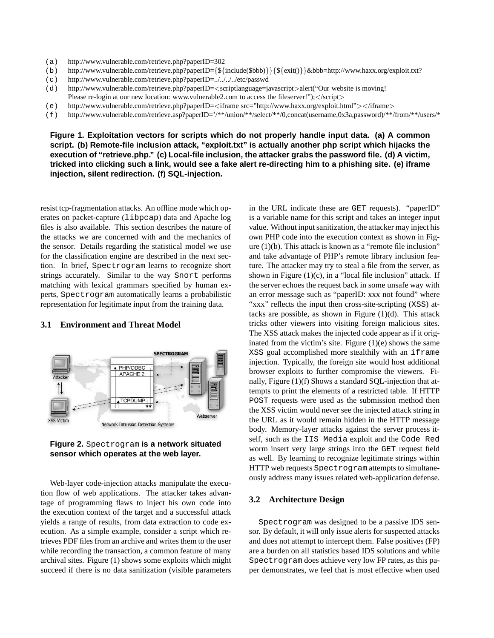- (a) http://www.vulnerable.com/retrieve.php?paperID=302
- (b) http://www.vulnerable.com/retrieve.php?paperID={\${include(\$bbb)}}{\${exit()}}&bbb=http://www.haxx.org/exploit.txt?
- (c) http://www.vulnerable.com/retrieve.php?paperID=../../../../etc/passwd
- (d) http://www.vulnerable.com/retrieve.php?paperID=<scriptlanguage=javascript>alert("Our website is moving! Please re-login at our new location: www.vulnerable2.com to access the fileserver!");</script>
- (e) http://www.vulnerable.com/retrieve.php?paperID=<iframe src="http://www.haxx.org/exploit.html"></iframe>
- (f) http://www.vulnerable.com/retrieve.asp?paperID='/\*\*/union/\*\*/select/\*\*/0,concat(username,0x3a,password)/\*\*/from/\*\*/users/\*

**Figure 1. Exploitation vectors for scripts which do not properly handle input data. (a) A common script. (b) Remote-file inclusion attack, "exploit.txt" is actually another php script which hijacks the execution of "retrieve.php." (c) Local-file inclusion, the attacker grabs the password file. (d) A victim, tricked into clicking such a link, would see a fake alert re-directing him to a phishing site. (e) iframe injection, silent redirection. (f) SQL-injection.**

resist tcp-fragmentation attacks. An offline mode which operates on packet-capture (libpcap) data and Apache log files is also available. This section describes the nature of the attacks we are concerned with and the mechanics of the sensor. Details regarding the statistical model we use for the classification engine are described in the next section. In brief, Spectrogram learns to recognize short strings accurately. Similar to the way Snort performs matching with lexical grammars specified by human experts, Spectrogram automatically learns a probabilistic representation for legitimate input from the training data.

#### **3.1 Environment and Threat Model**



**Figure 2.** Spectrogram **is a network situated sensor which operates at the web layer.**

Web-layer code-injection attacks manipulate the execution flow of web applications. The attacker takes advantage of programming flaws to inject his own code into the execution context of the target and a successful attack yields a range of results, from data extraction to code execution. As a simple example, consider a script which retrieves PDF files from an archive and writes them to the user while recording the transaction, a common feature of many archival sites. Figure (1) shows some exploits which might succeed if there is no data sanitization (visible parameters

in the URL indicate these are GET requests). "paperID" is a variable name for this script and takes an integer input value. Without input sanitization, the attacker may inject his own PHP code into the execution context as shown in Figure (1)(b). This attack is known as a "remote file inclusion" and take advantage of PHP's remote library inclusion feature. The attacker may try to steal a file from the server, as shown in Figure  $(1)(c)$ , in a "local file inclusion" attack. If the server echoes the request back in some unsafe way with an error message such as "paperID: xxx not found" where "xxx" reflects the input then cross-site-scripting (XSS) attacks are possible, as shown in Figure  $(1)(d)$ . This attack tricks other viewers into visiting foreign malicious sites. The XSS attack makes the injected code appear as if it originated from the victim's site. Figure  $(1)(e)$  shows the same XSS goal accomplished more stealthily with an iframe injection. Typically, the foreign site would host additional browser exploits to further compromise the viewers. Finally, Figure (1)(f) Shows a standard SQL-injection that attempts to print the elements of a restricted table. If HTTP POST requests were used as the submission method then the XSS victim would never see the injected attack string in the URL as it would remain hidden in the HTTP message body. Memory-layer attacks against the server process itself, such as the IIS Media exploit and the Code Red worm insert very large strings into the GET request field as well. By learning to recognize legitimate strings within HTTP web requests Spectrogram attempts to simultaneously address many issues related web-application defense.

### **3.2 Architecture Design**

Spectrogram was designed to be a passive IDS sensor. By default, it will only issue alerts for suspected attacks and does not attempt to intercept them. False positives (FP) are a burden on all statistics based IDS solutions and while Spectrogram does achieve very low FP rates, as this paper demonstrates, we feel that is most effective when used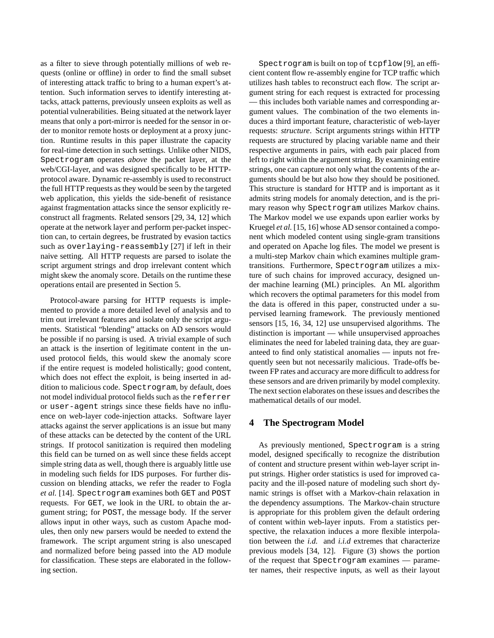as a filter to sieve through potentially millions of web requests (online or offline) in order to find the small subset of interesting attack traffic to bring to a human expert's attention. Such information serves to identify interesting attacks, attack patterns, previously unseen exploits as well as potential vulnerabilities. Being situated at the network layer means that only a port-mirror is needed for the sensor in order to monitor remote hosts or deployment at a proxy junction. Runtime results in this paper illustrate the capacity for real-time detection in such settings. Unlike other NIDS, Spectrogram operates *above* the packet layer, at the web/CGI-layer, and was designed specifically to be HTTPprotocol aware. Dynamic re-assembly is used to reconstruct the full HTTP requests as they would be seen by the targeted web application, this yields the side-benefit of resistance against fragmentation attacks since the sensor explicitly reconstruct all fragments. Related sensors [29, 34, 12] which operate at the network layer and perform per-packet inspection can, to certain degrees, be frustrated by evasion tactics such as overlaying-reassembly [27] if left in their naive setting. All HTTP requests are parsed to isolate the script argument strings and drop irrelevant content which might skew the anomaly score. Details on the runtime these operations entail are presented in Section 5.

Protocol-aware parsing for HTTP requests is implemented to provide a more detailed level of analysis and to trim out irrelevant features and isolate only the script arguments. Statistical "blending" attacks on AD sensors would be possible if no parsing is used. A trivial example of such an attack is the insertion of legitimate content in the unused protocol fields, this would skew the anomaly score if the entire request is modeled holistically; good content, which does not effect the exploit, is being inserted in addition to malicious code. Spectrogram, by default, does not model individual protocol fields such as the referrer or user-agent strings since these fields have no influence on web-layer code-injection attacks. Software layer attacks against the server applications is an issue but many of these attacks can be detected by the content of the URL strings. If protocol sanitization is required then modeling this field can be turned on as well since these fields accept simple string data as well, though there is arguably little use in modeling such fields for IDS purposes. For further discussion on blending attacks, we refer the reader to Fogla *et al.* [14]. Spectrogram examines both GET and POST requests. For GET, we look in the URL to obtain the argument string; for POST, the message body. If the server allows input in other ways, such as custom Apache modules, then only new parsers would be needed to extend the framework. The script argument string is also unescaped and normalized before being passed into the AD module for classification. These steps are elaborated in the following section.

Spectrogram is built on top of tcpflow [9], an efficient content flow re-assembly engine for TCP traffic which utilizes hash tables to reconstruct each flow. The script argument string for each request is extracted for processing — this includes both variable names and corresponding argument values. The combination of the two elements induces a third important feature, characteristic of web-layer requests: *structure*. Script arguments strings within HTTP requests are structured by placing variable name and their respective arguments in pairs, with each pair placed from left to right within the argument string. By examining entire strings, one can capture not only what the contents of the arguments should be but also how they should be positioned. This structure is standard for HTTP and is important as it admits string models for anomaly detection, and is the primary reason why Spectrogram utilizes Markov chains. The Markov model we use expands upon earlier works by Kruegel *et al.* [15, 16] whose AD sensor contained a component which modeled content using single-gram transitions and operated on Apache log files. The model we present is a multi-step Markov chain which examines multiple gramtransitions. Furthermore, Spectrogram utilizes a mixture of such chains for improved accuracy, designed under machine learning (ML) principles. An ML algorithm which recovers the optimal parameters for this model from the data is offered in this paper, constructed under a supervised learning framework. The previously mentioned sensors [15, 16, 34, 12] use unsupervised algorithms. The distinction is important — while unsupervised approaches eliminates the need for labeled training data, they are guaranteed to find only statistical anomalies — inputs not frequently seen but not necessarily malicious. Trade-offs between FP rates and accuracy are more difficult to address for these sensors and are driven primarily by model complexity. The next section elaborates on these issues and describes the mathematical details of our model.

# **4 The Spectrogram Model**

As previously mentioned, Spectrogram is a string model, designed specifically to recognize the distribution of content and structure present within web-layer script input strings. Higher order statistics is used for improved capacity and the ill-posed nature of modeling such short dynamic strings is offset with a Markov-chain relaxation in the dependency assumptions. The Markov-chain structure is appropriate for this problem given the default ordering of content within web-layer inputs. From a statistics perspective, the relaxation induces a more flexible interpolation between the *i.d.* and *i.i.d* extremes that characterize previous models [34, 12]. Figure (3) shows the portion of the request that Spectrogram examines — parameter names, their respective inputs, as well as their layout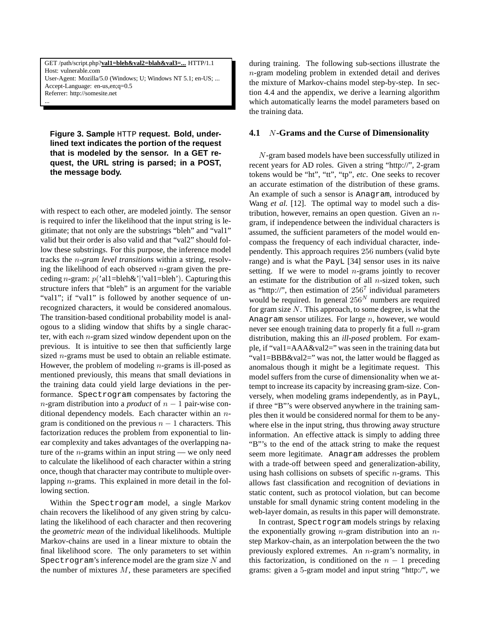GET /path/script.php?**val1=bleh&val2=blah&val3=...** HTTP/1.1 Host: vulnerable.com User-Agent: Mozilla/5.0 (Windows; U; Windows NT 5.1; en-US; ... Accept-Language: en-us,en;q=0.5 Referrer: http://somesite.net

...

**Figure 3. Sample** HTTP **request. Bold, underlined text indicates the portion of the request that is modeled by the sensor. In a GET request, the URL string is parsed; in a POST, the message body.**

with respect to each other, are modeled jointly. The sensor is required to infer the likelihood that the input string is legitimate; that not only are the substrings "bleh" and "val1" valid but their order is also valid and that "val2" should follow these substrings. For this purpose, the inference model tracks the n*-gram level transitions* within a string, resolving the likelihood of each observed  $n$ -gram given the preceding *n*-gram:  $p('all=bleh&')'val1=bleh')$ . Capturing this structure infers that "bleh" is an argument for the variable "val1"; if "val1" is followed by another sequence of unrecognized characters, it would be considered anomalous. The transition-based conditional probability model is analogous to a sliding window that shifts by a single character, with each  $n$ -gram sized window dependent upon on the previous. It is intuitive to see then that sufficiently large sized *n*-grams must be used to obtain an reliable estimate. However, the problem of modeling  $n$ -grams is ill-posed as mentioned previously, this means that small deviations in the training data could yield large deviations in the performance. Spectrogram compensates by factoring the n-gram distribution into a *product* of  $n - 1$  pair-wise conditional dependency models. Each character within an ngram is conditioned on the previous  $n - 1$  characters. This factorization reduces the problem from exponential to linear complexity and takes advantages of the overlapping nature of the  $n$ -grams within an input string — we only need to calculate the likelihood of each character within a string once, though that character may contribute to multiple overlapping *n*-grams. This explained in more detail in the following section.

Within the Spectrogram model, a single Markov chain recovers the likelihood of any given string by calculating the likelihood of each character and then recovering the *geometric mean* of the individual likelihoods. Multiple Markov-chains are used in a linear mixture to obtain the final likelihood score. The only parameters to set within Spectrogram's inference model are the gram size  $N$  and the number of mixtures  $M$ , these parameters are specified during training. The following sub-sections illustrate the n-gram modeling problem in extended detail and derives the mixture of Markov-chains model step-by-step. In section 4.4 and the appendix, we derive a learning algorithm which automatically learns the model parameters based on the training data.

#### **4.1** N**-Grams and the Curse of Dimensionality**

N-gram based models have been successfully utilized in recent years for AD roles. Given a string "http://", 2-gram tokens would be "ht", "tt", "tp", *etc*. One seeks to recover an accurate estimation of the distribution of these grams. An example of such a sensor is Anagram, introduced by Wang *et al.* [12]. The optimal way to model such a distribution, however, remains an open question. Given an  $n$ gram, if independence between the individual characters is assumed, the sufficient parameters of the model would encompass the frequency of each individual character, independently. This approach requires 256 numbers (valid byte range) and is what the PayL [34] sensor uses in its naive setting. If we were to model  $n$ -grams jointly to recover an estimate for the distribution of all  $n$ -sized token, such as "http://", then estimation of  $256<sup>7</sup>$  individual parameters would be required. In general  $256<sup>N</sup>$  numbers are required for gram size N. This approach, to some degree, is what the Anagram sensor utilizes. For large  $n$ , however, we would never see enough training data to properly fit a full  $n$ -gram distribution, making this an *ill-posed* problem. For example, if "val1=AAA&val2=" was seen in the training data but "val1=BBB&val2=" was not, the latter would be flagged as anomalous though it might be a legitimate request. This model suffers from the curse of dimensionality when we attempt to increase its capacity by increasing gram-size. Conversely, when modeling grams independently, as in PayL, if three "B"'s were observed anywhere in the training samples then it would be considered normal for them to be anywhere else in the input string, thus throwing away structure information. An effective attack is simply to adding three "B"'s to the end of the attack string to make the request seem more legitimate. Anagram addresses the problem with a trade-off between speed and generalization-ability, using hash collisions on subsets of specific  $n$ -grams. This allows fast classification and recognition of deviations in static content, such as protocol violation, but can become unstable for small dynamic string content modeling in the web-layer domain, as results in this paper will demonstrate.

In contrast, Spectrogram models strings by relaxing the exponentially growing  $n$ -gram distribution into an  $n$ step Markov-chain, as an interpolation between the the two previously explored extremes. An n-gram's normality, in this factorization, is conditioned on the  $n - 1$  preceding grams: given a 5-gram model and input string "http:/", we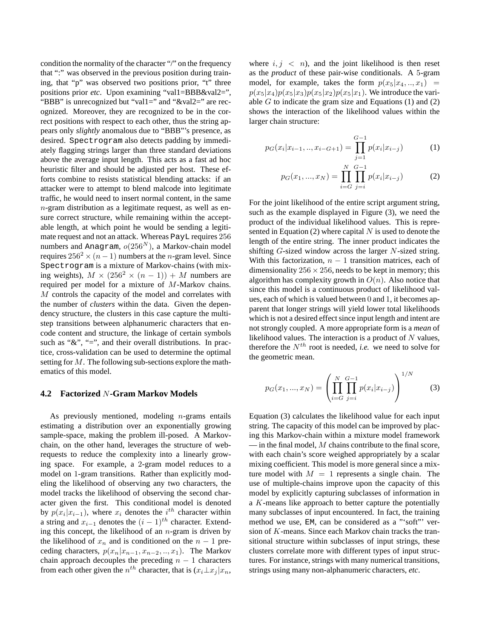condition the normality of the character "/" on the frequency that ":" was observed in the previous position during training, that "p" was observed two positions prior, "t" three positions prior *etc*. Upon examining "val1=BBB&val2=", "BBB" is unrecognized but "val1=" and "&val2=" are recognized. Moreover, they are recognized to be in the correct positions with respect to each other, thus the string appears only *slightly* anomalous due to "BBB"'s presence, as desired. Spectrogram also detects padding by immediately flagging strings larger than three standard deviations above the average input length. This acts as a fast ad hoc heuristic filter and should be adjusted per host. These efforts combine to resists statistical blending attacks: if an attacker were to attempt to blend malcode into legitimate traffic, he would need to insert normal content, in the same n-gram distribution as a legitimate request, as well as ensure correct structure, while remaining within the acceptable length, at which point he would be sending a legitimate request and not an attack. Whereas PayL requires 256 numbers and Anagram,  $o(256<sup>N</sup>)$ , a Markov-chain model requires  $256^2 \times (n-1)$  numbers at the *n*-gram level. Since Spectrogram is a mixture of Markov-chains (with mixing weights),  $M \times (256^2 \times (n-1)) + M$  numbers are required per model for a mixture of M-Markov chains. M controls the capacity of the model and correlates with the number of *clusters* within the data. Given the dependency structure, the clusters in this case capture the multistep transitions between alphanumeric characters that encode content and structure, the linkage of certain symbols such as " $\&$ ", "=", and their overall distributions. In practice, cross-validation can be used to determine the optimal setting for M. The following sub-sections explore the mathematics of this model.

### **4.2 Factorized** N**-Gram Markov Models**

As previously mentioned, modeling  $n$ -grams entails estimating a distribution over an exponentially growing sample-space, making the problem ill-posed. A Markovchain, on the other hand, leverages the structure of webrequests to reduce the complexity into a linearly growing space. For example, a 2-gram model reduces to a model on 1-gram transitions. Rather than explicitly modeling the likelihood of observing any two characters, the model tracks the likelihood of observing the second character given the first. This conditional model is denoted by  $p(x_i|x_{i-1})$ , where  $x_i$  denotes the  $i^{th}$  character within a string and  $x_{i-1}$  denotes the  $(i - 1)$ <sup>th</sup> character. Extending this concept, the likelihood of an  $n$ -gram is driven by the likelihood of  $x_n$  and is conditioned on the  $n-1$  preceding characters,  $p(x_n|x_{n-1}, x_{n-2}, \ldots, x_1)$ . The Markov chain approach decouples the preceding  $n - 1$  characters from each other given the  $n^{th}$  character, that is  $(x_i \perp x_j | x_n,$ 

where  $i, j \, \langle n \rangle$ , and the joint likelihood is then reset as the *product* of these pair-wise conditionals. A 5-gram model, for example, takes the form  $p(x_5|x_4, \ldots, x_1)$  =  $p(x_5|x_4)p(x_5|x_3)p(x_5|x_2)p(x_5|x_1)$ . We introduce the variable  $G$  to indicate the gram size and Equations  $(1)$  and  $(2)$ shows the interaction of the likelihood values within the larger chain structure:

$$
p_G(x_i|x_{i-1},..,x_{i-G+1}) = \prod_{j=1}^{G-1} p(x_i|x_{i-j})
$$
 (1)

$$
p_G(x_1, ..., x_N) = \prod_{i=G}^{N} \prod_{j=i}^{G-1} p(x_i | x_{i-j})
$$
 (2)

For the joint likelihood of the entire script argument string, such as the example displayed in Figure (3), we need the product of the individual likelihood values. This is represented in Equation (2) where capital  $N$  is used to denote the length of the entire string. The inner product indicates the shifting  $G$ -sized window across the larger  $N$ -sized string. With this factorization,  $n - 1$  transition matrices, each of dimensionality  $256 \times 256$ , needs to be kept in memory; this algorithm has complexity growth in  $O(n)$ . Also notice that since this model is a continuous product of likelihood values, each of which is valued between 0 and 1, it becomes apparent that longer strings will yield lower total likelihoods which is not a desired effect since input length and intent are not strongly coupled. A more appropriate form is a *mean* of likelihood values. The interaction is a product of  $N$  values, therefore the  $N^{th}$  root is needed, *i.e.* we need to solve for the geometric mean.

$$
p_G(x_1, ..., x_N) = \left(\prod_{i=G}^N \prod_{j=i}^{G-1} p(x_i | x_{i-j})\right)^{1/N}
$$
 (3)

Equation (3) calculates the likelihood value for each input string. The capacity of this model can be improved by placing this Markov-chain within a mixture model framework  $\frac{1}{1}$  in the final model, M chains contribute to the final score, with each chain's score weighed appropriately by a scalar mixing coefficient. This model is more general since a mixture model with  $M = 1$  represents a single chain. The use of multiple-chains improve upon the capacity of this model by explicitly capturing subclasses of information in a K-means like approach to better capture the potentially many subclasses of input encountered. In fact, the training method we use, EM, can be considered as a "'soft"' version of K-means. Since each Markov chain tracks the transitional structure within subclasses of input strings, these clusters correlate more with different types of input structures. For instance, strings with many numerical transitions, strings using many non-alphanumeric characters, *etc*.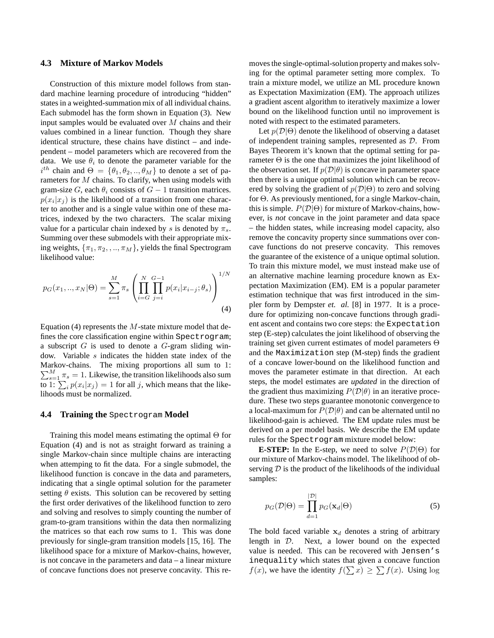#### **4.3 Mixture of Markov Models**

Construction of this mixture model follows from standard machine learning procedure of introducing "hidden" states in a weighted-summation mix of all individual chains. Each submodel has the form shown in Equation (3). New input samples would be evaluated over M chains and their values combined in a linear function. Though they share identical structure, these chains have distinct – and independent – model parameters which are recovered from the data. We use  $\theta_i$  to denote the parameter variable for the  $i^{th}$  chain and  $\Theta = {\theta_1, \theta_2, ..., \theta_M}$  to denote a set of parameters for M chains. To clarify, when using models with gram-size G, each  $\theta_i$  consists of  $G - 1$  transition matrices.  $p(x_i|x_j)$  is the likelihood of a transition from one character to another and is a single value within one of these matrices, indexed by the two characters. The scalar mixing value for a particular chain indexed by s is denoted by  $\pi_s$ . Summing over these submodels with their appropriate mixing weights,  $\{\pi_1, \pi_2, ..., \pi_M\}$ , yields the final Spectrogram likelihood value:

$$
p_G(x_1,..,x_N|\Theta) = \sum_{s=1}^M \pi_s \left( \prod_{i=G}^N \prod_{j=i}^{G-1} p(x_i|x_{i-j}; \theta_s) \right)^{1/N}
$$
\n(4)

Equation (4) represents the  $M$ -state mixture model that defines the core classification engine within Spectrogram; a subscript  $G$  is used to denote a  $G$ -gram sliding window. Variable s indicates the hidden state index of the  $\sum_{s=1}^{M} \pi_s = 1$ . Likewise, the transition likelihoods also sum Markov-chains. The mixing proportions all sum to 1: to 1:  $\sum_i p(x_i|x_j) = 1$  for all j, which means that the likelihoods must be normalized.

### **4.4 Training the** Spectrogram **Model**

Training this model means estimating the optimal  $\Theta$  for Equation (4) and is not as straight forward as training a single Markov-chain since multiple chains are interacting when attemping to fit the data. For a single submodel, the likelihood function is concave in the data and parameters, indicating that a single optimal solution for the parameter setting  $\theta$  exists. This solution can be recovered by setting the first order derivatives of the likelihood function to zero and solving and resolves to simply counting the number of gram-to-gram transitions within the data then normalizing the matrices so that each row sums to 1. This was done previously for single-gram transition models [15, 16]. The likelihood space for a mixture of Markov-chains, however, is not concave in the parameters and data – a linear mixture of concave functions does not preserve concavity. This removes the single-optimal-solution property and makes solving for the optimal parameter setting more complex. To train a mixture model, we utilize an ML procedure known as Expectation Maximization (EM). The approach utilizes a gradient ascent algorithm to iteratively maximize a lower bound on the likelihood function until no improvement is noted with respect to the estimated parameters.

Let  $p(\mathcal{D}|\Theta)$  denote the likelihood of observing a dataset of independent training samples, represented as D. From Bayes Theorem it's known that the optimal setting for parameter  $\Theta$  is the one that maximizes the joint likelihood of the observation set. If  $p(\mathcal{D}|\theta)$  is concave in parameter space then there is a unique optimal solution which can be recovered by solving the gradient of  $p(\mathcal{D}|\Theta)$  to zero and solving for Θ. As previously mentioned, for a single Markov-chain, this is simple.  $P(D|\Theta)$  for mixture of Markov-chains, however, is *not* concave in the joint parameter and data space – the hidden states, while increasing model capacity, also remove the concavity property since summations over concave functions do not preserve concavity. This removes the guarantee of the existence of a unique optimal solution. To train this mixture model, we must instead make use of an alternative machine learning procedure known as Expectation Maximization (EM). EM is a popular parameter estimation technique that was first introduced in the simpler form by Dempster *et. al.* [8] in 1977. It is a procedure for optimizing non-concave functions through gradient ascent and contains two core steps: the Expectation step (E-step) calculates the joint likelihood of observing the training set given current estimates of model parameters Θ and the Maximization step (M-step) finds the gradient of a concave lower-bound on the likelihood function and moves the parameter estimate in that direction. At each steps, the model estimates are *updated* in the direction of the gradient thus maximizing  $P(D|\theta)$  in an iterative procedure. These two steps guarantee monotonic convergence to a local-maximum for  $P(D|\theta)$  and can be alternated until no likelihood-gain is achieved. The EM update rules must be derived on a per model basis. We describe the EM update rules for the Spectrogram mixture model below:

**E-STEP:** In the E-step, we need to solve  $P(\mathcal{D}|\Theta)$  for our mixture of Markov-chains model. The likelihood of observing  $D$  is the product of the likelihoods of the individual samples:

$$
p_G(\mathcal{D}|\Theta) = \prod_{d=1}^{|\mathcal{D}|} p_G(\mathbf{x}_d|\Theta)
$$
 (5)

The bold faced variable  $x_d$  denotes a string of arbitrary length in D. Next, a lower bound on the expected value is needed. This can be recovered with Jensen's inequality which states that given a concave function  $f(x)$ , we have the identity  $f(\sum x) \ge \sum f(x)$ . Using log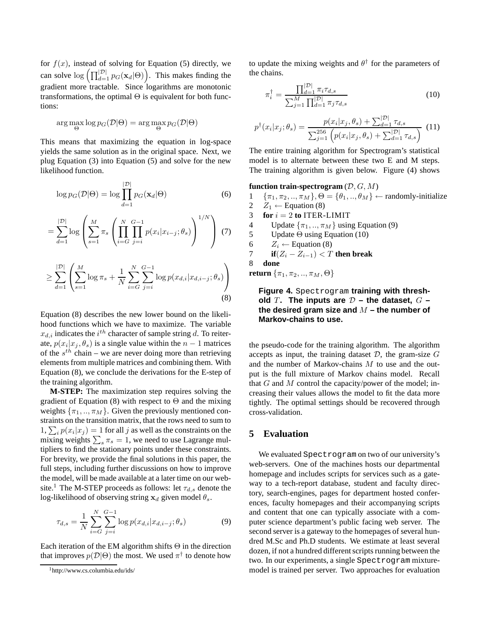for  $f(x)$ , instead of solving for Equation (5) directly, we can solve  $\log \left( \prod_{d=1}^{|\mathcal{D}|} p_G(\mathbf{x}_d | \Theta) \right)$ . This makes finding the gradient more tractable. Since logarithms are monotonic transformations, the optimal  $\Theta$  is equivalent for both functions:

$$
\arg\max_{\Theta} \log p_G(\mathcal{D}|\Theta) = \arg\max_{\Theta} p_G(\mathcal{D}|\Theta)
$$

This means that maximizing the equation in log-space yields the same solution as in the original space. Next, we plug Equation (3) into Equation (5) and solve for the new likelihood function.

$$
\log p_G(\mathcal{D}|\Theta) = \log \prod_{d=1}^{|\mathcal{D}|} p_G(\mathbf{x}_d|\Theta)
$$
 (6)

$$
= \sum_{d=1}^{|\mathcal{D}|} \log \left( \sum_{s=1}^{M} \pi_s \left( \prod_{i=G}^{N} \prod_{j=i}^{G-1} p(x_i | x_{i-j}; \theta_s) \right)^{1/N} \right) (7)
$$

$$
\geq \sum_{d=1}^{|\mathcal{D}|} \left( \sum_{s=1}^{M} \log \pi_s + \frac{1}{N} \sum_{i=G}^{N} \sum_{j=i}^{G-1} \log p(x_{d,i} | x_{d,i-j}; \theta_s) \right) \tag{8}
$$

Equation (8) describes the new lower bound on the likelihood functions which we have to maximize. The variable  $x_{d,i}$  indicates the  $i^{th}$  character of sample string d. To reiterate,  $p(x_i|x_j, \theta_s)$  is a single value within the  $n-1$  matrices of the  $s^{th}$  chain – we are never doing more than retrieving elements from multiple matrices and combining them. With Equation (8), we conclude the derivations for the E-step of the training algorithm.

**M-STEP:** The maximization step requires solving the gradient of Equation (8) with respect to  $\Theta$  and the mixing weights  $\{\pi_1, ..., \pi_M\}$ . Given the previously mentioned constraints on the transition matrix, that the rows need to sum to 1,  $\sum_i p(x_i|x_j) = 1$  for all j as well as the constraints on the mixing weights  $\sum_{s} \pi_s = 1$ , we need to use Lagrange multipliers to find the stationary points under these constraints. For brevity, we provide the final solutions in this paper, the full steps, including further discussions on how to improve the model, will be made available at a later time on our website.<sup>1</sup> The M-STEP proceeds as follows: let  $\tau_{d,s}$  denote the log-likelihood of observing string  $x_d$  given model  $\theta_s$ .

$$
\tau_{d,s} = \frac{1}{N} \sum_{i=G}^{N} \sum_{j=i}^{G-1} \log p(x_{d,i}|x_{d,i-j}; \theta_s)
$$
(9)

Each iteration of the EM algorithm shifts  $\Theta$  in the direction that improves  $p(\mathcal{D}|\Theta)$  the most. We used  $\pi^{\dagger}$  to denote how

to update the mixing weights and  $\theta^{\dagger}$  for the parameters of the chains.

$$
\pi_i^{\dagger} = \frac{\prod_{d=1}^{|\mathcal{D}|} \pi_i \tau_{d,s}}{\sum_{j=1}^M \prod_{d=1}^{|\mathcal{D}|} \pi_j \tau_{d,s}}
$$
(10)

$$
p^{\dagger}(x_i|x_j; \theta_s) = \frac{p(x_i|x_j, \theta_s) + \sum_{d=1}^{|\mathcal{D}|} \tau_{d,s}}{\sum_{j=1}^{256} \left( p(x_i|x_j, \theta_s) + \sum_{d=1}^{|\mathcal{D}|} \tau_{d,s} \right)}
$$
(11)

The entire training algorithm for Spectrogram's statistical model is to alternate between these two E and M steps. The training algorithm is given below. Figure (4) shows

**function train-spectrogram**  $(D, G, M)$ <br>1  $\{\pi_1, \pi_2, ..., \pi_M\}, \Theta = \{\theta_1, ..., \theta_M\}$ 

1 { $\pi_1, \pi_2, ..., \pi_M$ },  $\Theta = {\theta_1, ..., \theta_M} \leftarrow$  randomly-initialize<br>2  $Z_1 \leftarrow$  Equation (8) 2  $Z_1 \leftarrow$  Equation (8)<br>3 **for**  $i = 2$  **to** ITER-

- $$
- 4 Update  $\{\pi_1, ..., \pi_M\}$  using Equation (9)<br>5 Update  $\Theta$  using Equation (10)
- Update  $\Theta$  using Equation (10)
- 6  $Z_i \leftarrow$  Equation (8)<br>7 **if** $(Z_i Z_{i-1}) < T$
- 7 **if** $(Z_i Z_{i-1}) < T$  **then break**<br>8 **done**

8 **done**

**return**  $\{\pi_1, \pi_2, ..., \pi_M, \Theta\}$ 

# **Figure 4.** Spectrogram **training with thresh**old T. The inputs are  $D$  – the dataset,  $G$  – the desired gram size and  $M$  – the number of **Markov-chains to use.**

the pseudo-code for the training algorithm. The algorithm accepts as input, the training dataset  $D$ , the gram-size  $G$ and the number of Markov-chains M to use and the output is the full mixture of Markov chains model. Recall that  $G$  and  $M$  control the capacity/power of the model; increasing their values allows the model to fit the data more tightly. The optimal settings should be recovered through cross-validation.

# **5 Evaluation**

We evaluated Spectrogram on two of our university's web-servers. One of the machines hosts our departmental homepage and includes scripts for services such as a gateway to a tech-report database, student and faculty directory, search-engines, pages for department hosted conferences, faculty homepages and their accompanying scripts and content that one can typically associate with a computer science department's public facing web server. The second server is a gateway to the homepages of several hundred M.Sc and Ph.D students. We estimate at least several dozen, if not a hundred different scripts running between the two. In our experiments, a single Spectrogram mixturemodel is trained per server. Two approaches for evaluation

<sup>1</sup>http://www.cs.columbia.edu/ids/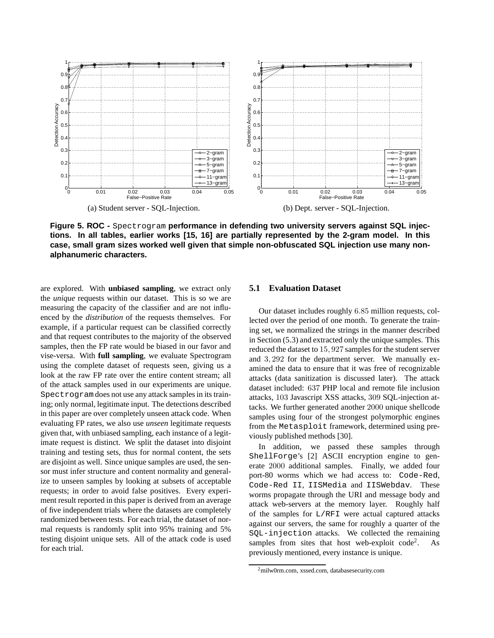

**Figure 5. ROC -** Spectrogram **performance in defending two university servers against SQL injections. In all tables, earlier works [15, 16] are partially represented by the 2-gram model. In this case, small gram sizes worked well given that simple non-obfuscated SQL injection use many nonalphanumeric characters.**

are explored. With **unbiased sampling**, we extract only the *unique* requests within our dataset. This is so we are measuring the capacity of the classifier and are not influenced by the *distribution* of the requests themselves. For example, if a particular request can be classified correctly and that request contributes to the majority of the observed samples, then the FP rate would be biased in our favor and vise-versa. With **full sampling**, we evaluate Spectrogram using the complete dataset of requests seen, giving us a look at the raw FP rate over the entire content stream; all of the attack samples used in our experiments are unique. Spectrogram does not use any attack samples in its training; only normal, legitimate input. The detections described in this paper are over completely unseen attack code. When evaluating FP rates, we also use *unseen* legitimate requests given that, with unbiased sampling, each instance of a legitimate request is distinct. We split the dataset into disjoint training and testing sets, thus for normal content, the sets are disjoint as well. Since unique samples are used, the sensor must infer structure and content normality and generalize to unseen samples by looking at subsets of acceptable requests; in order to avoid false positives. Every experiment result reported in this paper is derived from an average of five independent trials where the datasets are completely randomized between tests. For each trial, the dataset of normal requests is randomly split into 95% training and 5% testing disjoint unique sets. All of the attack code is used for each trial.

# **5.1 Evaluation Dataset**

Our dataset includes roughly 6.85 million requests, collected over the period of one month. To generate the training set, we normalized the strings in the manner described in Section (5.3) and extracted only the unique samples. This reduced the dataset to 15, 927 samples for the student server and 3, 292 for the department server. We manually examined the data to ensure that it was free of recognizable attacks (data sanitization is discussed later). The attack dataset included: 637 PHP local and remote file inclusion attacks, 103 Javascript XSS attacks, 309 SQL-injection attacks. We further generated another 2000 unique shellcode samples using four of the strongest polymorphic engines from the Metasploit framework, determined using previously published methods [30].

In addition, we passed these samples through ShellForge's [2] ASCII encryption engine to generate 2000 additional samples. Finally, we added four port-80 worms which we had access to: Code-Red, Code-Red II, IISMedia and IISWebdav. These worms propagate through the URI and message body and attack web-servers at the memory layer. Roughly half of the samples for L/RFI were actual captured attacks against our servers, the same for roughly a quarter of the SQL-injection attacks. We collected the remaining samples from sites that host web-exploit  $code^2$ . . As previously mentioned, every instance is unique.

<sup>2</sup>milw0rm.com, xssed.com, databasesecurity.com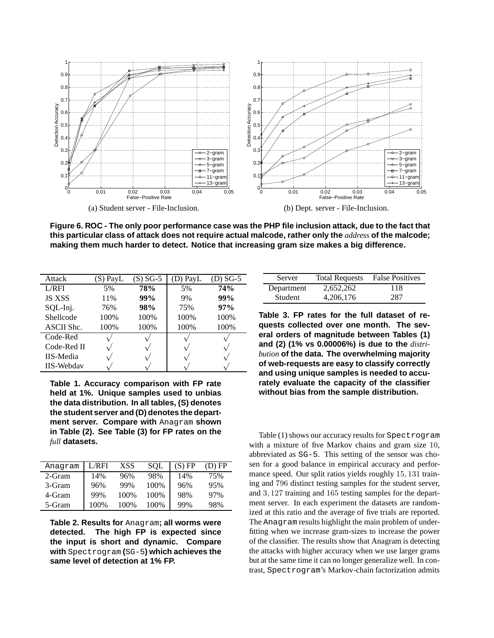

**Figure 6. ROC - The only poor performance case was the PHP file inclusion attack, due to the fact that this particular class of attack does not require actual malcode, rather only the** *address* **of the malcode; making them much harder to detect. Notice that increasing gram size makes a big difference.**

| Attack            | (S) PayL | $(S) SG-5$ | (D) PayL | $(D) SG-5$ |
|-------------------|----------|------------|----------|------------|
| L/RFI             | 5%       | 78%        | 5%       | 74%        |
| <b>JS XSS</b>     | 11%      | 99%        | 9%       | 99%        |
| SQL-Inj.          | 76%      | 98%        | 75%      | 97%        |
| Shellcode         | 100%     | 100%       | 100%     | 100%       |
| ASCII Shc.        | 100%     | 100%       | 100%     | 100%       |
| Code-Red          |          |            |          |            |
| Code-Red II       |          |            |          |            |
| <b>IIS-Media</b>  |          |            |          |            |
| <b>IIS-Webdav</b> |          |            |          |            |

**Table 1. Accuracy comparison with FP rate held at 1%. Unique samples used to unbias the data distribution. In all tables, (S) denotes the student server and (D) denotes the department server. Compare with** Anagram **shown in Table (2). See Table (3) for FP rates on the** *full* **datasets.**

| Anagram | L/RFI | XSS  | <b>SOL</b> | (S) FP | $(D)$ FP |
|---------|-------|------|------------|--------|----------|
| 2-Gram  | 14%   | 96%  | 98%        | 14%    | 75%      |
| 3-Gram  | 96%   | 99%  | 100%       | 96%    | 95%      |
| 4-Gram  | 99%   | 100% | 100%       | 98%    | 97%      |
| 5-Gram  | 100%  | 100% | 100%       | 99%    | 98%      |

**Table 2. Results for** Anagram**; all worms were detected. The high FP is expected since the input is short and dynamic. Compare with** Spectrogram **(**SG-5**) which achieves the same level of detection at 1% FP.**

| Server         | <b>Total Requests</b> | <b>False Positives</b> |
|----------------|-----------------------|------------------------|
| Department     | 2,652,262             | 118                    |
| <b>Student</b> | 4,206,176             | 287                    |

**Table 3. FP rates for the full dataset of requests collected over one month. The several orders of magnitude between Tables (1) and (2) (1% vs 0.00006%) is due to the** *distribution* **of the data. The overwhelming majority of web-requests are easy to classify correctly and using unique samples is needed to accurately evaluate the capacity of the classifier without bias from the sample distribution.**

Table (1) shows our accuracy results for Spectrogram with a mixture of five Markov chains and gram size 10, abbreviated as SG-5. This setting of the sensor was chosen for a good balance in empirical accuracy and performance speed. Our split ratios yields roughly 15, 131 training and 796 distinct testing samples for the student server, and 3, 127 training and 165 testing samples for the department server. In each experiment the datasets are randomized at this ratio and the average of five trials are reported. The Anagram results highlight the main problem of underfitting when we increase gram-sizes to increase the power of the classifier. The results show that Anagram is detecting the attacks with higher accuracy when we use larger grams but at the same time it can no longer generalize well. In contrast, Spectrogram's Markov-chain factorization admits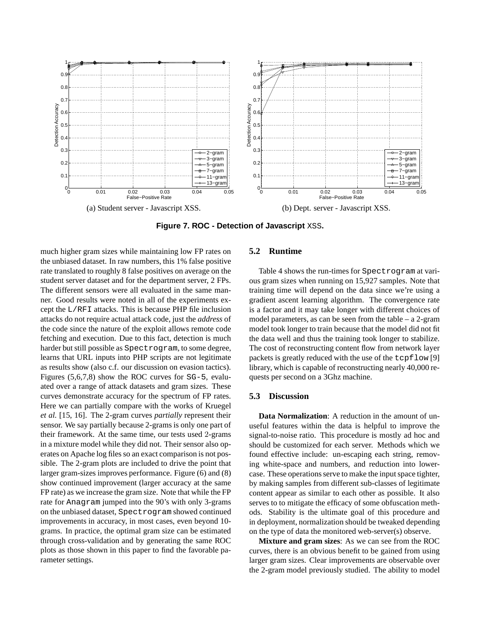

**Figure 7. ROC - Detection of Javascript** XSS**.**

much higher gram sizes while maintaining low FP rates on the unbiased dataset. In raw numbers, this 1% false positive rate translated to roughly 8 false positives on average on the student server dataset and for the department server, 2 FPs. The different sensors were all evaluated in the same manner. Good results were noted in all of the experiments except the L/RFI attacks. This is because PHP file inclusion attacks do not require actual attack code, just the *address* of the code since the nature of the exploit allows remote code fetching and execution. Due to this fact, detection is much harder but still possible as Spectrogram, to some degree, learns that URL inputs into PHP scripts are not legitimate as results show (also c.f. our discussion on evasion tactics). Figures (5,6,7,8) show the ROC curves for SG-5, evaluated over a range of attack datasets and gram sizes. These curves demonstrate accuracy for the spectrum of FP rates. Here we can partially compare with the works of Kruegel *et al.* [15, 16]. The 2-gram curves *partially* represent their sensor. We say partially because 2-grams is only one part of their framework. At the same time, our tests used 2-grams in a mixture model while they did not. Their sensor also operates on Apache log files so an exact comparison is not possible. The 2-gram plots are included to drive the point that larger gram-sizes improves performance. Figure (6) and (8) show continued improvement (larger accuracy at the same FP rate) as we increase the gram size. Note that while the FP rate for Anagram jumped into the 90's with only 3-grams on the unbiased dataset, Spectrogram showed continued improvements in accuracy, in most cases, even beyond 10 grams. In practice, the optimal gram size can be estimated through cross-validation and by generating the same ROC plots as those shown in this paper to find the favorable parameter settings.

# **5.2 Runtime**

Table 4 shows the run-times for Spectrogram at various gram sizes when running on 15,927 samples. Note that training time will depend on the data since we're using a gradient ascent learning algorithm. The convergence rate is a factor and it may take longer with different choices of model parameters, as can be seen from the table – a 2-gram model took longer to train because that the model did not fit the data well and thus the training took longer to stabilize. The cost of reconstructing content flow from network layer packets is greatly reduced with the use of the tcpflow [9] library, which is capable of reconstructing nearly 40,000 requests per second on a 3Ghz machine.

### **5.3 Discussion**

**Data Normalization**: A reduction in the amount of unuseful features within the data is helpful to improve the signal-to-noise ratio. This procedure is mostly ad hoc and should be customized for each server. Methods which we found effective include: un-escaping each string, removing white-space and numbers, and reduction into lowercase. These operations serve to make the input space tighter, by making samples from different sub-classes of legitimate content appear as similar to each other as possible. It also serves to to mitigate the efficacy of some obfuscation methods. Stability is the ultimate goal of this procedure and in deployment, normalization should be tweaked depending on the type of data the monitored web-server(s) observe.

**Mixture and gram sizes**: As we can see from the ROC curves, there is an obvious benefit to be gained from using larger gram sizes. Clear improvements are observable over the 2-gram model previously studied. The ability to model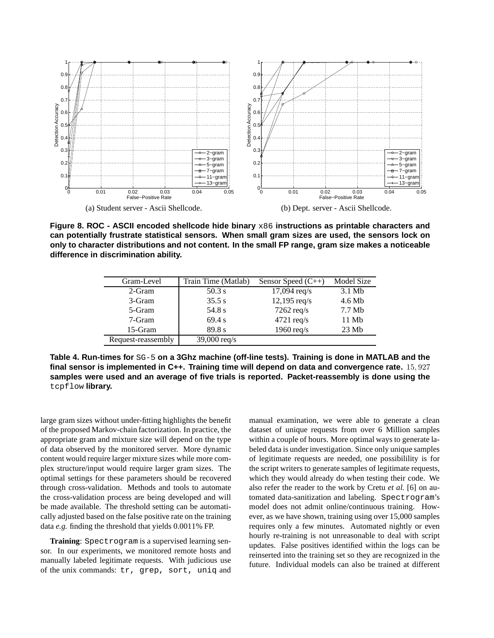

**Figure 8. ROC - ASCII encoded shellcode hide binary** x86 **instructions as printable characters and can potentially frustrate statistical sensors. When small gram sizes are used, the sensors lock on only to character distributions and not content. In the small FP range, gram size makes a noticeable difference in discrimination ability.**

| Gram-Level         | Train Time (Matlab) | Sensor Speed $(C_{++})$ | Model Size |
|--------------------|---------------------|-------------------------|------------|
| 2-Gram             | $50.3$ s            | $17,094 \text{ req/s}$  | $3.1$ Mb   |
| 3-Gram             | 35.5 s              | $12,195$ req/s          | 4.6 Mb     |
| 5-Gram             | 54.8 s              | $7262$ req/s            | $7.7$ Mb   |
| 7-Gram             | 69.4 s              | $4721 \text{ req/s}$    | 11 Mb      |
| 15-Gram            | 89.8 s              | 1960 $req/s$            | 23Mb       |
| Request-reassembly | 39,000 $req/s$      |                         |            |

**Table 4. Run-times for** SG-5 **on a 3Ghz machine (off-line tests). Training is done in MATLAB and the final sensor is implemented in C++. Training time will depend on data and convergence rate.** 15, 927 **samples were used and an average of five trials is reported. Packet-reassembly is done using the** tcpflow **library.**

large gram sizes without under-fitting highlights the benefit of the proposed Markov-chain factorization. In practice, the appropriate gram and mixture size will depend on the type of data observed by the monitored server. More dynamic content would require larger mixture sizes while more complex structure/input would require larger gram sizes. The optimal settings for these parameters should be recovered through cross-validation. Methods and tools to automate the cross-validation process are being developed and will be made available. The threshold setting can be automatically adjusted based on the false positive rate on the training data *e.g.* finding the threshold that yields 0.0011% FP.

**Training**: Spectrogram is a supervised learning sensor. In our experiments, we monitored remote hosts and manually labeled legitimate requests. With judicious use of the unix commands: tr, grep, sort, uniq and manual examination, we were able to generate a clean dataset of unique requests from over 6 Million samples within a couple of hours. More optimal ways to generate labeled data is under investigation. Since only unique samples of legitimate requests are needed, one possibilility is for the script writers to generate samples of legitimate requests, which they would already do when testing their code. We also refer the reader to the work by Cretu *et al.* [6] on automated data-sanitization and labeling. Spectrogram's model does not admit online/continuous training. However, as we have shown, training using over 15,000 samples requires only a few minutes. Automated nightly or even hourly re-training is not unreasonable to deal with script updates. False positives identified within the logs can be reinserted into the training set so they are recognized in the future. Individual models can also be trained at different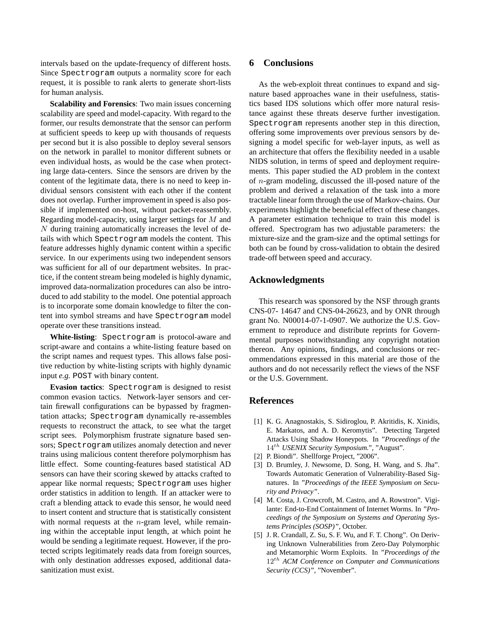intervals based on the update-frequency of different hosts. Since Spectrogram outputs a normality score for each request, it is possible to rank alerts to generate short-lists for human analysis.

**Scalability and Forensics**: Two main issues concerning scalability are speed and model-capacity. With regard to the former, our results demonstrate that the sensor can perform at sufficient speeds to keep up with thousands of requests per second but it is also possible to deploy several sensors on the network in parallel to monitor different subnets or even individual hosts, as would be the case when protecting large data-centers. Since the sensors are driven by the content of the legitimate data, there is no need to keep individual sensors consistent with each other if the content does not overlap. Further improvement in speed is also possible if implemented on-host, without packet-reassembly. Regarding model-capacity, using larger settings for M and N during training automatically increases the level of details with which Spectrogram models the content. This feature addresses highly dynamic content within a specific service. In our experiments using two independent sensors was sufficient for all of our department websites. In practice, if the content stream being modeled is highly dynamic, improved data-normalization procedures can also be introduced to add stability to the model. One potential approach is to incorporate some domain knowledge to filter the content into symbol streams and have Spectrogram model operate over these transitions instead.

**White-listing**: Spectrogram is protocol-aware and script-aware and contains a white-listing feature based on the script names and request types. This allows false positive reduction by white-listing scripts with highly dynamic input *e.g.* POST with binary content.

**Evasion tactics**: Spectrogram is designed to resist common evasion tactics. Network-layer sensors and certain firewall configurations can be bypassed by fragmentation attacks; Spectrogram dynamically re-assembles requests to reconstruct the attack, to see what the target script sees. Polymorphism frustrate signature based sensors; Spectrogram utilizes anomaly detection and never trains using malicious content therefore polymorphism has little effect. Some counting-features based statistical AD sensors can have their scoring skewed by attacks crafted to appear like normal requests; Spectrogram uses higher order statistics in addition to length. If an attacker were to craft a blending attack to evade this sensor, he would need to insert content and structure that is statistically consistent with normal requests at the  $n$ -gram level, while remaining within the acceptable input length, at which point he would be sending a legitimate request. However, if the protected scripts legitimately reads data from foreign sources, with only destination addresses exposed, additional datasanitization must exist.

# **6 Conclusions**

As the web-exploit threat continues to expand and signature based approaches wane in their usefulness, statistics based IDS solutions which offer more natural resistance against these threats deserve further investigation. Spectrogram represents another step in this direction, offering some improvements over previous sensors by designing a model specific for web-layer inputs, as well as an architecture that offers the flexibility needed in a usable NIDS solution, in terms of speed and deployment requirements. This paper studied the AD problem in the context of n-gram modeling, discussed the ill-posed nature of the problem and derived a relaxation of the task into a more tractable linear form through the use of Markov-chains. Our experiments highlight the beneficial effect of these changes. A parameter estimation technique to train this model is offered. Spectrogram has two adjustable parameters: the mixture-size and the gram-size and the optimal settings for both can be found by cross-validation to obtain the desired trade-off between speed and accuracy.

# **Acknowledgments**

This research was sponsored by the NSF through grants CNS-07- 14647 and CNS-04-26623, and by ONR through grant No. N00014-07-1-0907. We authorize the U.S. Government to reproduce and distribute reprints for Governmental purposes notwithstanding any copyright notation thereon. Any opinions, findings, and conclusions or recommendations expressed in this material are those of the authors and do not necessarily reflect the views of the NSF or the U.S. Government.

# **References**

- [1] K. G. Anagnostakis, S. Sidiroglou, P. Akritidis, K. Xinidis, E. Markatos, and A. D. Keromytis". Detecting Targeted Attacks Using Shadow Honeypots. In *"Proceedings of the* 14th *USENIX Security Symposium."*, "August".
- [2] P. Biondi". Shellforge Project, "2006".
- [3] D. Brumley, J. Newsome, D. Song, H. Wang, and S. Jha". Towards Automatic Generation of Vulnerability-Based Signatures. In *"Proceedings of the IEEE Symposium on Security and Privacy"*.
- [4] M. Costa, J. Crowcroft, M. Castro, and A. Rowstron". Vigilante: End-to-End Containment of Internet Worms. In *"Proceedings of the Symposium on Systems and Operating Systems Principles (SOSP)"*, October.
- [5] J. R. Crandall, Z. Su, S. F. Wu, and F. T. Chong". On Deriving Unknown Vulnerabilities from Zero-Day Polymorphic and Metamorphic Worm Exploits. In *"Proceedings of the* 12th *ACM Conference on Computer and Communications Security (CCS)"*, "November".